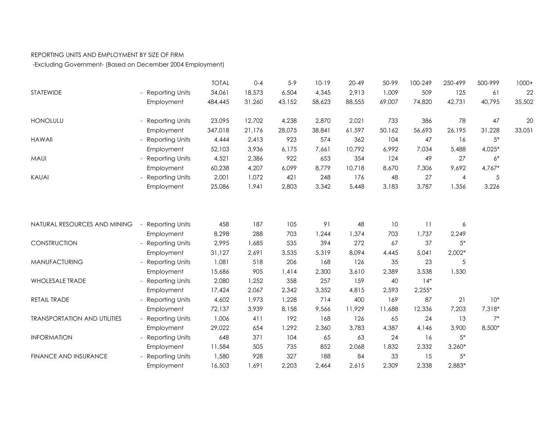## REPORTING UNITS AND EMPLOYMENT BY SIZE OF FIRM

-Excluding Government- (Based on December 2004 Employment)

|                                     |                        | <b>TOTAL</b> | $0 - 4$ | $5 - 9$ | $10-19$ | $20 - 49$ | 50-99  | 100-249  | 250-499        | 500-999  | $1000+$ |
|-------------------------------------|------------------------|--------------|---------|---------|---------|-----------|--------|----------|----------------|----------|---------|
| STATEWIDE                           | - Reporting Units      | 34,061       | 18,573  | 6,504   | 4,345   | 2,913     | 1,009  | 509      | 125            | 61       | 22      |
|                                     | Employment             | 484,445      | 31,260  | 43,152  | 58,623  | 88,555    | 69,007 | 74,820   | 42,731         | 40,795   | 35,502  |
| HONOLULU                            | - Reporting Units      | 23,095       | 12,702  | 4,238   | 2,870   | 2,021     | 733    | 386      | 78             | 47       | 20      |
|                                     | Employment             | 347,018      | 21,176  | 28,075  | 38,841  | 61,597    | 50,162 | 56,693   | 26,195         | 31,228   | 33,051  |
| <b>HAWAII</b>                       | - Reporting Units      | 4,444        | 2,413   | 923     | 574     | 362       | 104    | 47       | 16             | $5*$     |         |
|                                     | Employment             | 52,103       | 3,936   | 6,175   | 7,661   | 10,792    | 6,992  | 7,034    | 5,488          | $4,025*$ |         |
| MAUI                                | - Reporting Units      | 4,521        | 2,386   | 922     | 653     | 354       | 124    | 49       | 27             | $6*$     |         |
|                                     | Employment             | 60,238       | 4,207   | 6,099   | 8,779   | 10,718    | 8,670  | 7,306    | 9,692          | 4,767*   |         |
| KAUAI                               | - Reporting Units      | 2,001        | 1,072   | 421     | 248     | 176       | 48     | 27       | $\overline{4}$ | 5        |         |
|                                     | Employment             | 25,086       | 1,941   | 2,803   | 3,342   | 5,448     | 3,183  | 3,787    | 1,356          | 3,226    |         |
|                                     |                        |              |         |         |         |           |        |          |                |          |         |
| NATURAL RESOURCES AND MINING        | <b>Reporting Units</b> | 458          | 187     | 105     | 91      | 48        | 10     | 11       | 6              |          |         |
|                                     | Employment             | 8,298        | 288     | 703     | 1,244   | 1,374     | 703    | 1,737    | 2,249          |          |         |
| CONSTRUCTION                        | <b>Reporting Units</b> | 2,995        | 1,685   | 535     | 394     | 272       | 67     | 37       | $5*$           |          |         |
|                                     | Employment             | 31,127       | 2,691   | 3,535   | 5,319   | 8,094     | 4,445  | 5,041    | $2,002*$       |          |         |
| MANUFACTURING                       | <b>Reporting Units</b> | 1,081        | 518     | 206     | 168     | 126       | 35     | 23       | 5              |          |         |
|                                     | Employment             | 15,686       | 905     | 1,414   | 2,300   | 3,610     | 2,389  | 3,538    | 1,530          |          |         |
| <b>WHOLESALE TRADE</b>              | <b>Reporting Units</b> | 2,080        | 1,252   | 358     | 257     | 159       | 40     | $14*$    |                |          |         |
|                                     | Employment             | 17,424       | 2,067   | 2,342   | 3,352   | 4,815     | 2,593  | $2,255*$ |                |          |         |
| RETAIL TRADE                        | <b>Reporting Units</b> | 4,602        | 1,973   | 1,228   | 714     | 400       | 169    | 87       | 21             | $10*$    |         |
|                                     | Employment             | 72,137       | 3,939   | 8,158   | 9,566   | 11,929    | 11,688 | 12,336   | 7,203          | 7,318*   |         |
| <b>TRANSPORTATION AND UTILITIES</b> | - Reporting Units      | 1,006        | 411     | 192     | 168     | 126       | 65     | 24       | 13             | $7^*$    |         |
|                                     | Employment             | 29,022       | 654     | 1,292   | 2,360   | 3,783     | 4,387  | 4,146    | 3,900          | 8,500*   |         |
| <b>INFORMATION</b>                  | - Reporting Units      | 648          | 371     | 104     | 65      | 63        | 24     | 16       | $5*$           |          |         |
|                                     | Employment             | 11,584       | 505     | 735     | 852     | 2,068     | 1,832  | 2,332    | $3,260*$       |          |         |
| FINANCE AND INSURANCE               | - Reporting Units      | 1,580        | 928     | 327     | 188     | 84        | 33     | 15       | $5*$           |          |         |
|                                     | Employment             | 16,503       | 1,691   | 2,203   | 2,464   | 2,615     | 2,309  | 2,338    | 2,883*         |          |         |